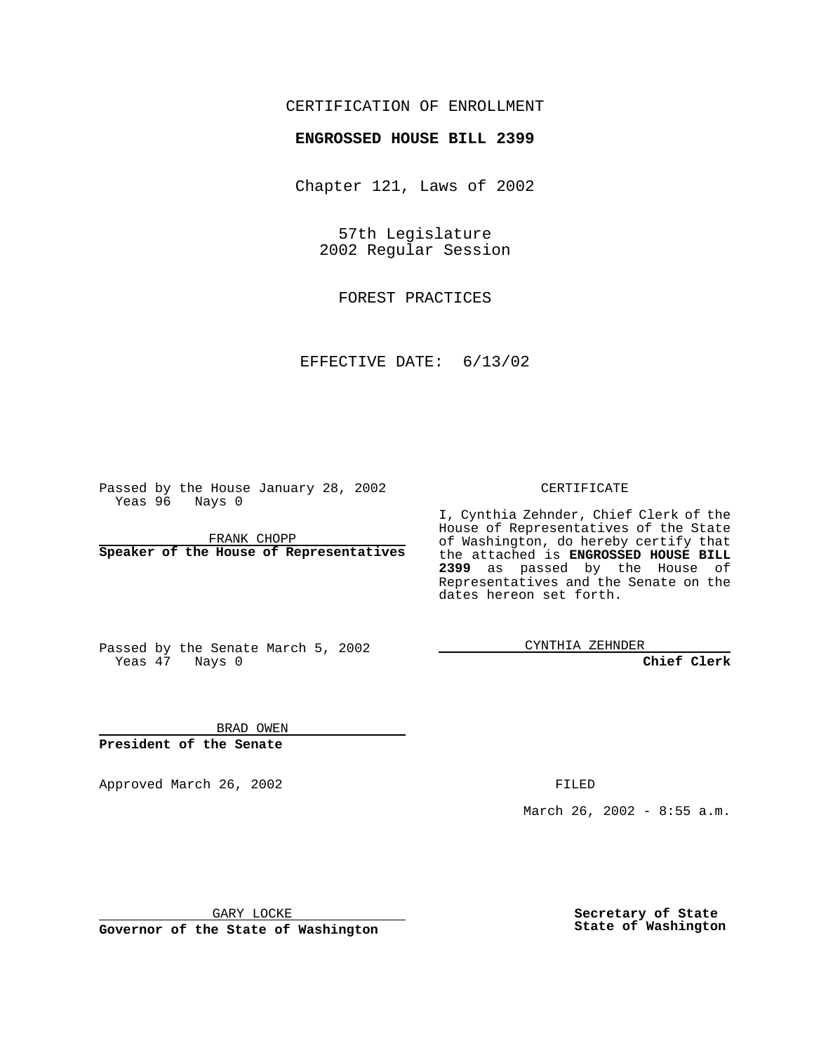## CERTIFICATION OF ENROLLMENT

## **ENGROSSED HOUSE BILL 2399**

Chapter 121, Laws of 2002

57th Legislature 2002 Regular Session

FOREST PRACTICES

EFFECTIVE DATE: 6/13/02

Passed by the House January 28, 2002 Yeas 96 Nays 0

FRANK CHOPP **Speaker of the House of Representatives** CERTIFICATE

I, Cynthia Zehnder, Chief Clerk of the House of Representatives of the State of Washington, do hereby certify that the attached is **ENGROSSED HOUSE BILL 2399** as passed by the House of Representatives and the Senate on the dates hereon set forth.

Passed by the Senate March 5, 2002 Yeas 47 Nays 0

CYNTHIA ZEHNDER

**Chief Clerk**

BRAD OWEN **President of the Senate**

Approved March 26, 2002 **FILED** 

March 26, 2002 - 8:55 a.m.

GARY LOCKE

**Governor of the State of Washington**

**Secretary of State State of Washington**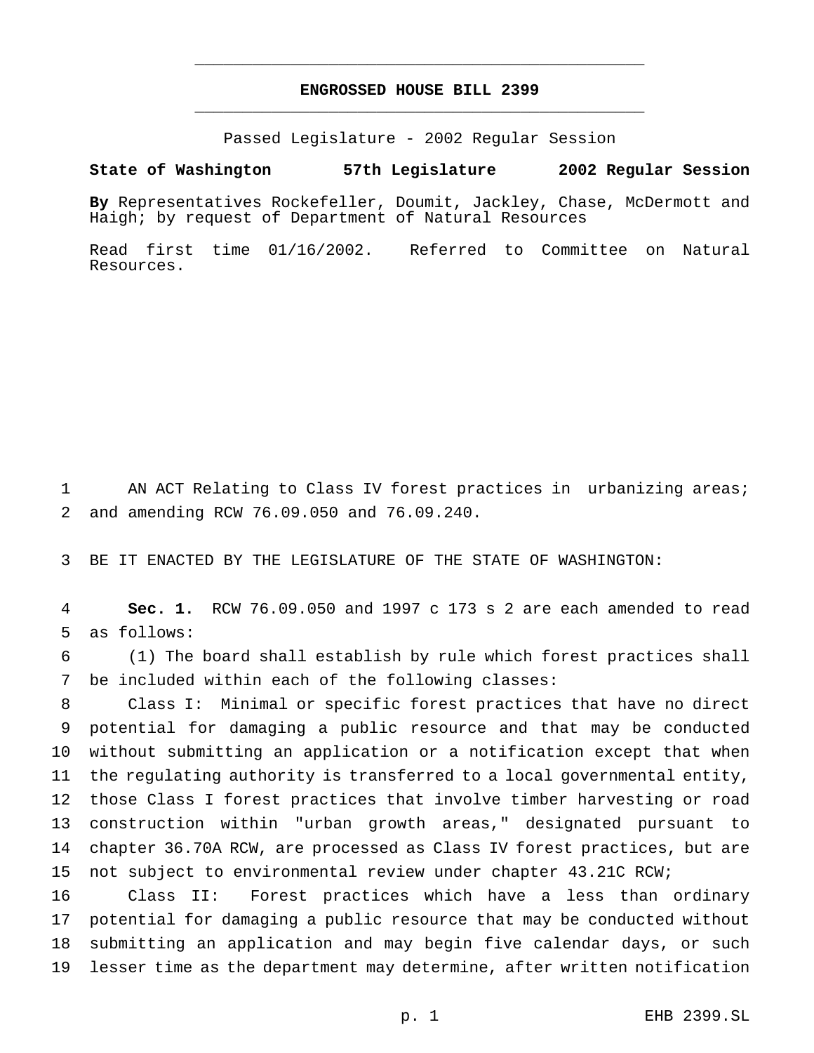## **ENGROSSED HOUSE BILL 2399** \_\_\_\_\_\_\_\_\_\_\_\_\_\_\_\_\_\_\_\_\_\_\_\_\_\_\_\_\_\_\_\_\_\_\_\_\_\_\_\_\_\_\_\_\_\_\_

\_\_\_\_\_\_\_\_\_\_\_\_\_\_\_\_\_\_\_\_\_\_\_\_\_\_\_\_\_\_\_\_\_\_\_\_\_\_\_\_\_\_\_\_\_\_\_

Passed Legislature - 2002 Regular Session

## **State of Washington 57th Legislature 2002 Regular Session**

**By** Representatives Rockefeller, Doumit, Jackley, Chase, McDermott and Haigh; by request of Department of Natural Resources

Read first time 01/16/2002. Referred to Committee on Natural Resources.

 AN ACT Relating to Class IV forest practices in urbanizing areas; and amending RCW 76.09.050 and 76.09.240.

BE IT ENACTED BY THE LEGISLATURE OF THE STATE OF WASHINGTON:

 **Sec. 1.** RCW 76.09.050 and 1997 c 173 s 2 are each amended to read as follows:

 (1) The board shall establish by rule which forest practices shall be included within each of the following classes:

 Class I: Minimal or specific forest practices that have no direct potential for damaging a public resource and that may be conducted without submitting an application or a notification except that when the regulating authority is transferred to a local governmental entity, those Class I forest practices that involve timber harvesting or road construction within "urban growth areas," designated pursuant to chapter 36.70A RCW, are processed as Class IV forest practices, but are not subject to environmental review under chapter 43.21C RCW;

 Class II: Forest practices which have a less than ordinary potential for damaging a public resource that may be conducted without submitting an application and may begin five calendar days, or such lesser time as the department may determine, after written notification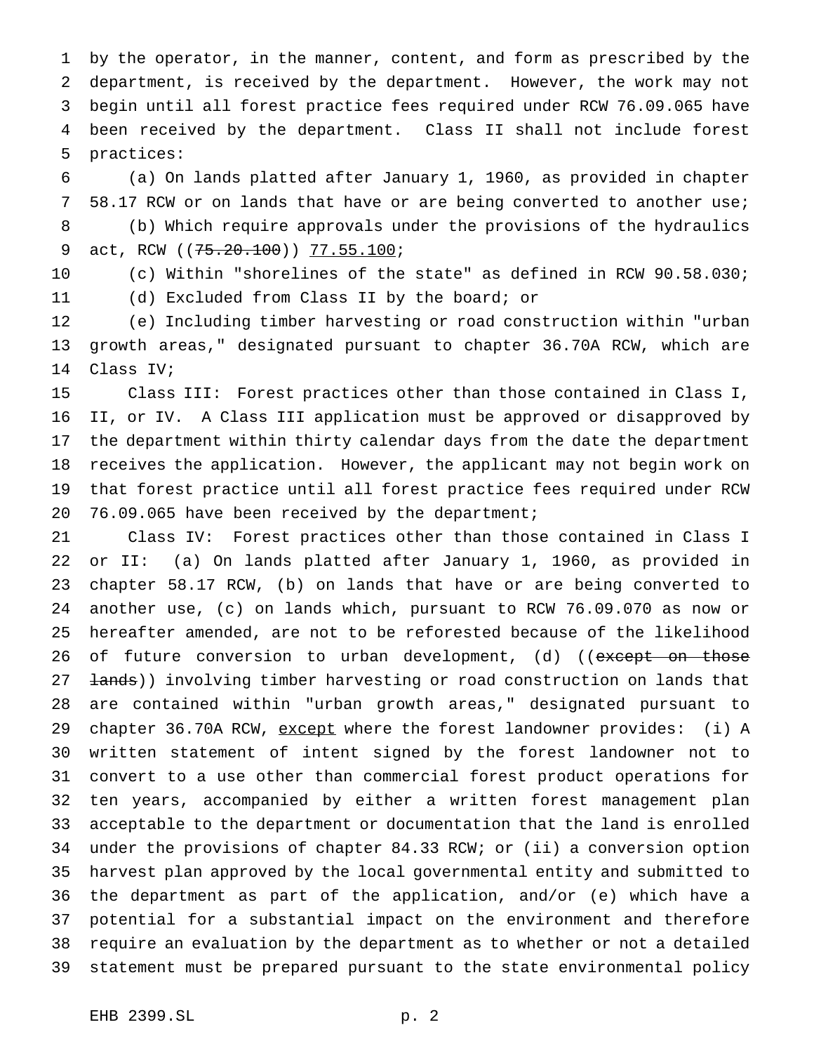by the operator, in the manner, content, and form as prescribed by the department, is received by the department. However, the work may not begin until all forest practice fees required under RCW 76.09.065 have been received by the department. Class II shall not include forest practices:

 (a) On lands platted after January 1, 1960, as provided in chapter 58.17 RCW or on lands that have or are being converted to another use; (b) Which require approvals under the provisions of the hydraulics 9 act, RCW (( $75.20.100$ )) 77.55.100;

 (c) Within "shorelines of the state" as defined in RCW 90.58.030; (d) Excluded from Class II by the board; or

 (e) Including timber harvesting or road construction within "urban growth areas," designated pursuant to chapter 36.70A RCW, which are Class IV;

 Class III: Forest practices other than those contained in Class I, II, or IV. A Class III application must be approved or disapproved by the department within thirty calendar days from the date the department receives the application. However, the applicant may not begin work on that forest practice until all forest practice fees required under RCW 76.09.065 have been received by the department;

 Class IV: Forest practices other than those contained in Class I or II: (a) On lands platted after January 1, 1960, as provided in chapter 58.17 RCW, (b) on lands that have or are being converted to another use, (c) on lands which, pursuant to RCW 76.09.070 as now or hereafter amended, are not to be reforested because of the likelihood 26 of future conversion to urban development, (d) ((except on those 27 <del>lands</del>)) involving timber harvesting or road construction on lands that are contained within "urban growth areas," designated pursuant to 29 chapter 36.70A RCW, except where the forest landowner provides: (i) A written statement of intent signed by the forest landowner not to convert to a use other than commercial forest product operations for ten years, accompanied by either a written forest management plan acceptable to the department or documentation that the land is enrolled under the provisions of chapter 84.33 RCW; or (ii) a conversion option harvest plan approved by the local governmental entity and submitted to the department as part of the application, and/or (e) which have a potential for a substantial impact on the environment and therefore require an evaluation by the department as to whether or not a detailed statement must be prepared pursuant to the state environmental policy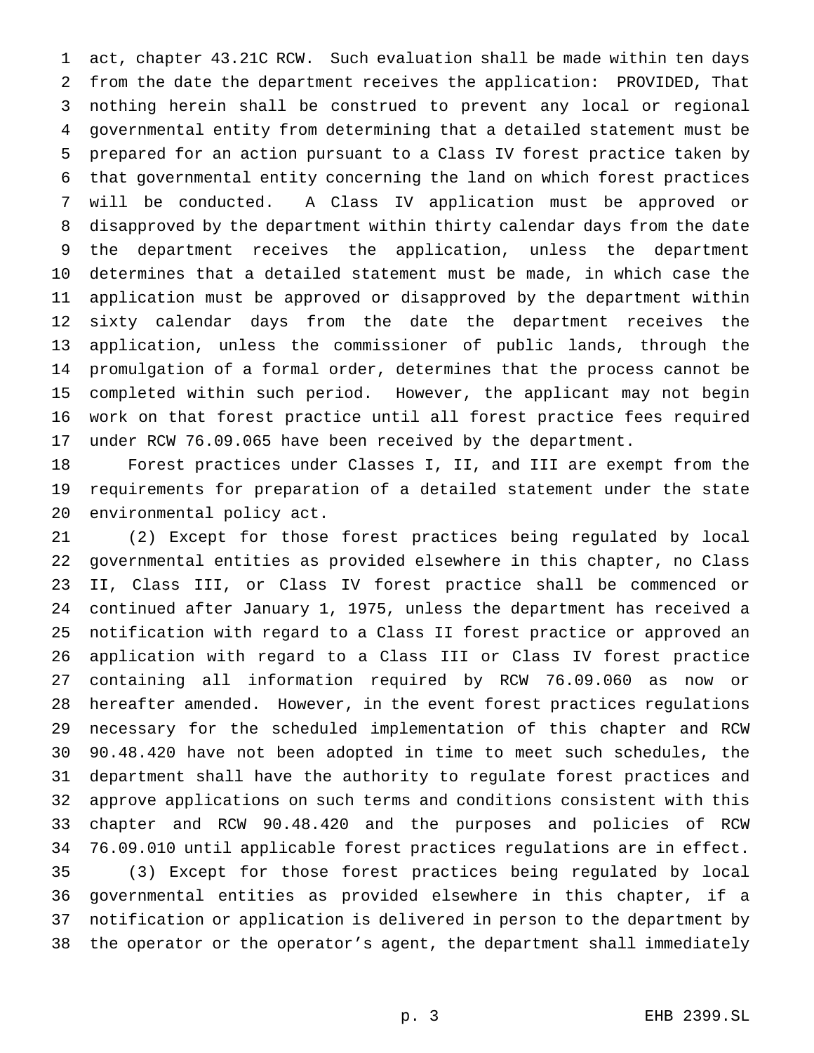act, chapter 43.21C RCW. Such evaluation shall be made within ten days from the date the department receives the application: PROVIDED, That nothing herein shall be construed to prevent any local or regional governmental entity from determining that a detailed statement must be prepared for an action pursuant to a Class IV forest practice taken by that governmental entity concerning the land on which forest practices will be conducted. A Class IV application must be approved or disapproved by the department within thirty calendar days from the date the department receives the application, unless the department determines that a detailed statement must be made, in which case the application must be approved or disapproved by the department within sixty calendar days from the date the department receives the application, unless the commissioner of public lands, through the promulgation of a formal order, determines that the process cannot be completed within such period. However, the applicant may not begin work on that forest practice until all forest practice fees required under RCW 76.09.065 have been received by the department.

 Forest practices under Classes I, II, and III are exempt from the requirements for preparation of a detailed statement under the state environmental policy act.

 (2) Except for those forest practices being regulated by local governmental entities as provided elsewhere in this chapter, no Class II, Class III, or Class IV forest practice shall be commenced or continued after January 1, 1975, unless the department has received a notification with regard to a Class II forest practice or approved an application with regard to a Class III or Class IV forest practice containing all information required by RCW 76.09.060 as now or hereafter amended. However, in the event forest practices regulations necessary for the scheduled implementation of this chapter and RCW 90.48.420 have not been adopted in time to meet such schedules, the department shall have the authority to regulate forest practices and approve applications on such terms and conditions consistent with this chapter and RCW 90.48.420 and the purposes and policies of RCW 76.09.010 until applicable forest practices regulations are in effect. (3) Except for those forest practices being regulated by local governmental entities as provided elsewhere in this chapter, if a notification or application is delivered in person to the department by the operator or the operator's agent, the department shall immediately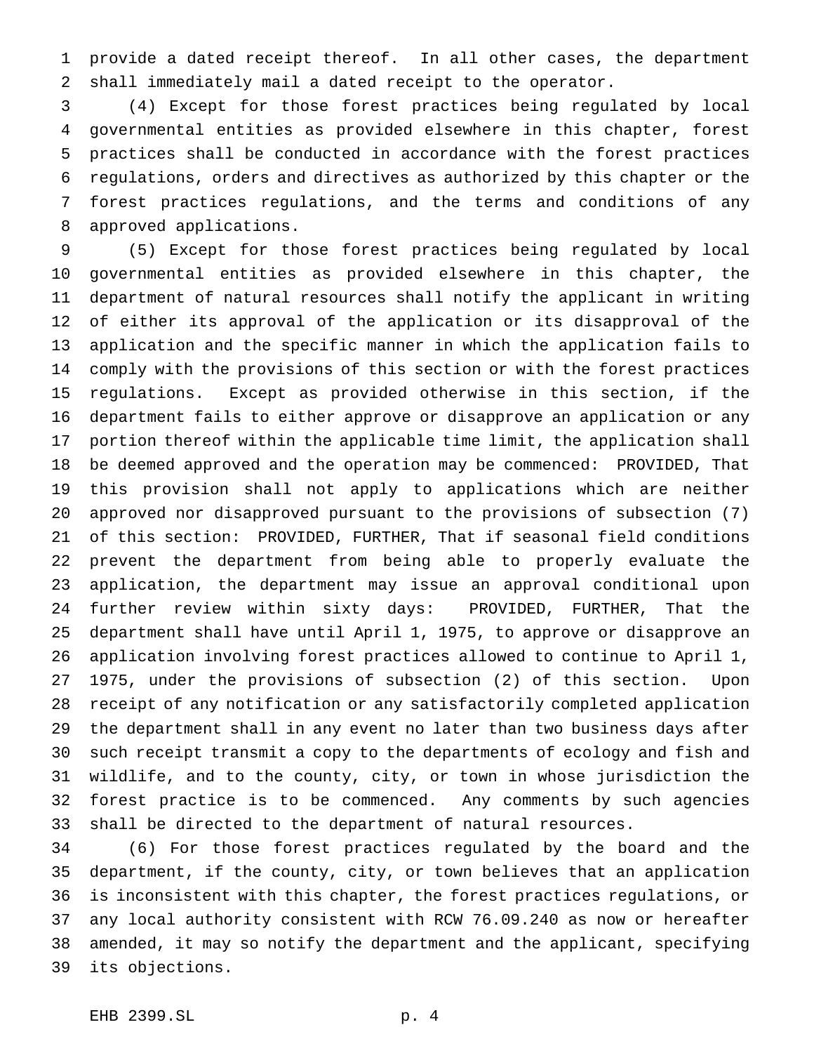provide a dated receipt thereof. In all other cases, the department shall immediately mail a dated receipt to the operator.

 (4) Except for those forest practices being regulated by local governmental entities as provided elsewhere in this chapter, forest practices shall be conducted in accordance with the forest practices regulations, orders and directives as authorized by this chapter or the forest practices regulations, and the terms and conditions of any approved applications.

 (5) Except for those forest practices being regulated by local governmental entities as provided elsewhere in this chapter, the department of natural resources shall notify the applicant in writing of either its approval of the application or its disapproval of the application and the specific manner in which the application fails to comply with the provisions of this section or with the forest practices regulations. Except as provided otherwise in this section, if the department fails to either approve or disapprove an application or any portion thereof within the applicable time limit, the application shall be deemed approved and the operation may be commenced: PROVIDED, That this provision shall not apply to applications which are neither approved nor disapproved pursuant to the provisions of subsection (7) of this section: PROVIDED, FURTHER, That if seasonal field conditions prevent the department from being able to properly evaluate the application, the department may issue an approval conditional upon further review within sixty days: PROVIDED, FURTHER, That the department shall have until April 1, 1975, to approve or disapprove an application involving forest practices allowed to continue to April 1, 1975, under the provisions of subsection (2) of this section. Upon receipt of any notification or any satisfactorily completed application the department shall in any event no later than two business days after such receipt transmit a copy to the departments of ecology and fish and wildlife, and to the county, city, or town in whose jurisdiction the forest practice is to be commenced. Any comments by such agencies shall be directed to the department of natural resources.

 (6) For those forest practices regulated by the board and the department, if the county, city, or town believes that an application is inconsistent with this chapter, the forest practices regulations, or any local authority consistent with RCW 76.09.240 as now or hereafter amended, it may so notify the department and the applicant, specifying its objections.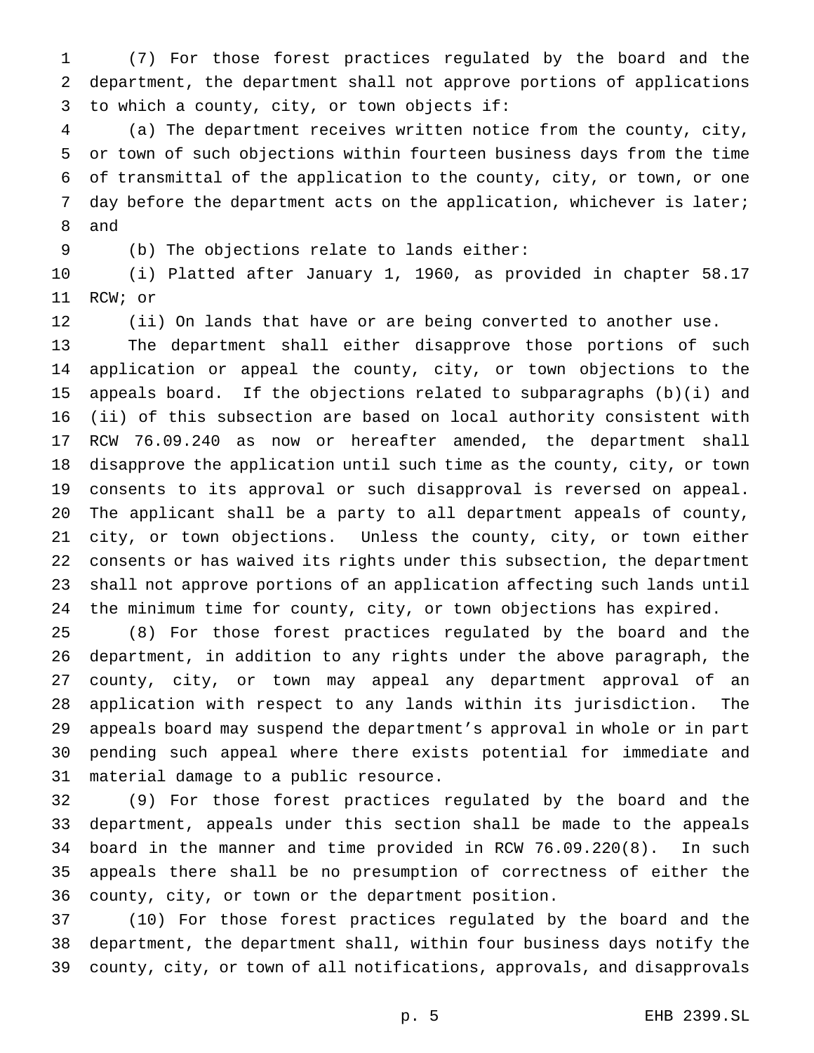(7) For those forest practices regulated by the board and the department, the department shall not approve portions of applications to which a county, city, or town objects if:

 (a) The department receives written notice from the county, city, or town of such objections within fourteen business days from the time of transmittal of the application to the county, city, or town, or one day before the department acts on the application, whichever is later; and

(b) The objections relate to lands either:

 (i) Platted after January 1, 1960, as provided in chapter 58.17 RCW; or

(ii) On lands that have or are being converted to another use.

 The department shall either disapprove those portions of such application or appeal the county, city, or town objections to the appeals board. If the objections related to subparagraphs (b)(i) and (ii) of this subsection are based on local authority consistent with RCW 76.09.240 as now or hereafter amended, the department shall disapprove the application until such time as the county, city, or town consents to its approval or such disapproval is reversed on appeal. The applicant shall be a party to all department appeals of county, city, or town objections. Unless the county, city, or town either consents or has waived its rights under this subsection, the department shall not approve portions of an application affecting such lands until the minimum time for county, city, or town objections has expired.

 (8) For those forest practices regulated by the board and the department, in addition to any rights under the above paragraph, the county, city, or town may appeal any department approval of an application with respect to any lands within its jurisdiction. The appeals board may suspend the department's approval in whole or in part pending such appeal where there exists potential for immediate and material damage to a public resource.

 (9) For those forest practices regulated by the board and the department, appeals under this section shall be made to the appeals board in the manner and time provided in RCW 76.09.220(8). In such appeals there shall be no presumption of correctness of either the county, city, or town or the department position.

 (10) For those forest practices regulated by the board and the department, the department shall, within four business days notify the county, city, or town of all notifications, approvals, and disapprovals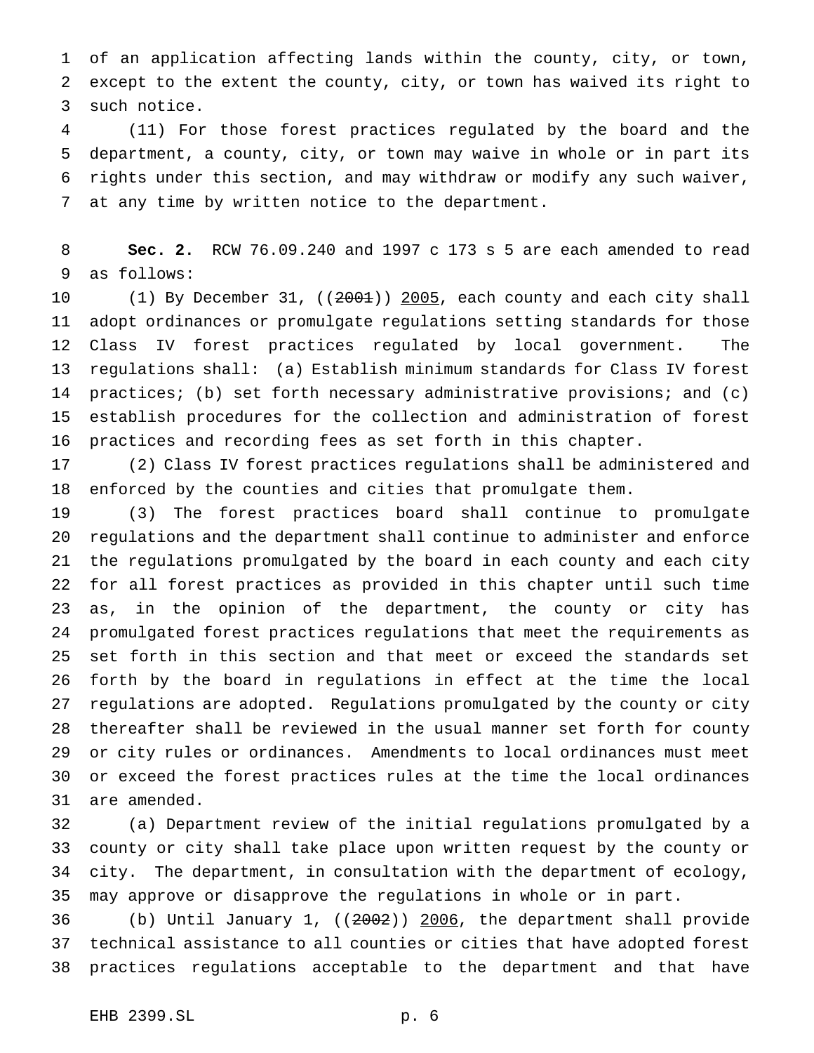of an application affecting lands within the county, city, or town, except to the extent the county, city, or town has waived its right to such notice.

 (11) For those forest practices regulated by the board and the department, a county, city, or town may waive in whole or in part its rights under this section, and may withdraw or modify any such waiver, at any time by written notice to the department.

 **Sec. 2.** RCW 76.09.240 and 1997 c 173 s 5 are each amended to read as follows:

10 (1) By December 31, ((2001)) 2005, each county and each city shall adopt ordinances or promulgate regulations setting standards for those Class IV forest practices regulated by local government. The regulations shall: (a) Establish minimum standards for Class IV forest practices; (b) set forth necessary administrative provisions; and (c) establish procedures for the collection and administration of forest practices and recording fees as set forth in this chapter.

 (2) Class IV forest practices regulations shall be administered and enforced by the counties and cities that promulgate them.

 (3) The forest practices board shall continue to promulgate regulations and the department shall continue to administer and enforce the regulations promulgated by the board in each county and each city for all forest practices as provided in this chapter until such time as, in the opinion of the department, the county or city has promulgated forest practices regulations that meet the requirements as set forth in this section and that meet or exceed the standards set forth by the board in regulations in effect at the time the local regulations are adopted. Regulations promulgated by the county or city thereafter shall be reviewed in the usual manner set forth for county or city rules or ordinances. Amendments to local ordinances must meet or exceed the forest practices rules at the time the local ordinances are amended.

 (a) Department review of the initial regulations promulgated by a county or city shall take place upon written request by the county or city. The department, in consultation with the department of ecology, may approve or disapprove the regulations in whole or in part.

 (b) Until January 1, ((2002)) 2006, the department shall provide technical assistance to all counties or cities that have adopted forest practices regulations acceptable to the department and that have